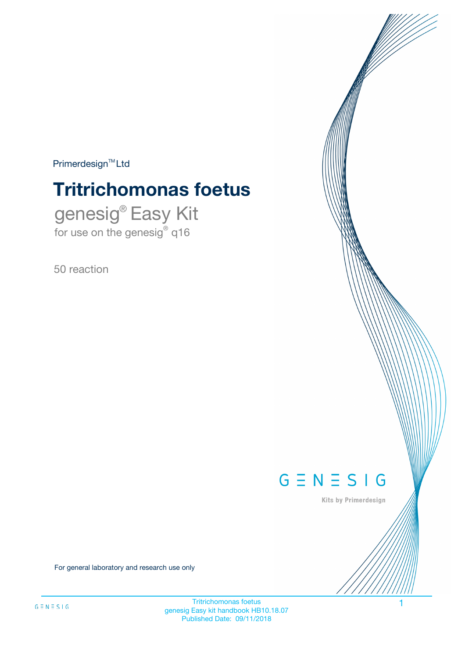$Primerdesign^{\text{TM}}Ltd$ 

# **Tritrichomonas foetus**

genesig® Easy Kit for use on the genesig® q16

50 reaction



Kits by Primerdesign

For general laboratory and research use only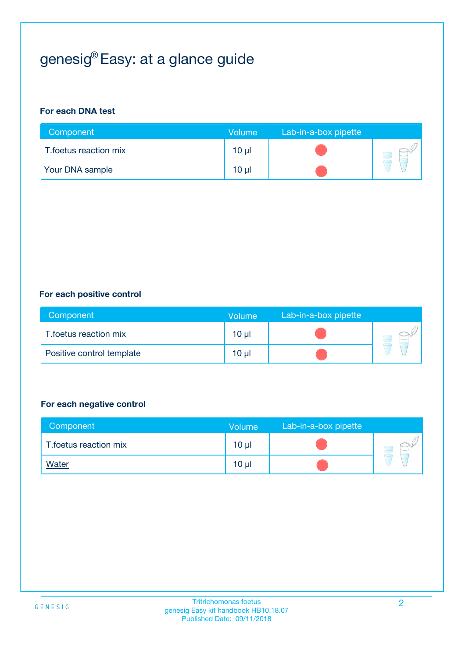# genesig® Easy: at a glance guide

#### **For each DNA test**

| Component              | <b>Volume</b> | Lab-in-a-box pipette |  |
|------------------------|---------------|----------------------|--|
| T.foetus reaction mix  | 10 µl         |                      |  |
| <b>Your DNA sample</b> | $10 \mu$      |                      |  |

#### **For each positive control**

| Component                 | Volume          | Lab-in-a-box pipette |  |
|---------------------------|-----------------|----------------------|--|
| T.foetus reaction mix     | 10 <sub>µ</sub> |                      |  |
| Positive control template | 10 <sub>µ</sub> |                      |  |

#### **For each negative control**

| Component             | <b>Volume</b>   | Lab-in-a-box pipette |  |
|-----------------------|-----------------|----------------------|--|
| T.foetus reaction mix | 10 <sub>µ</sub> |                      |  |
| <u>Water</u>          | 10 <sub>µ</sub> |                      |  |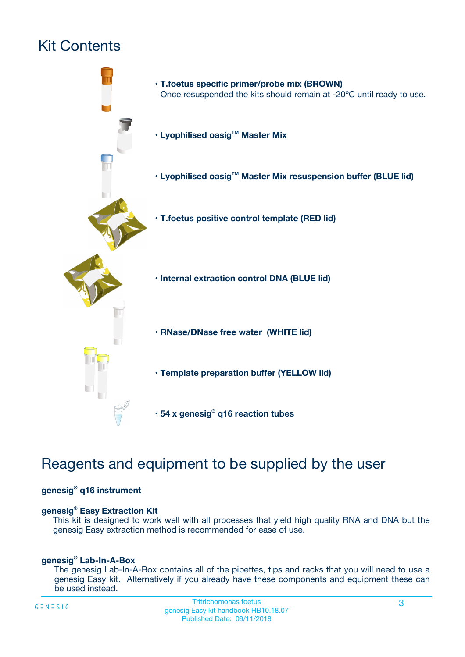# Kit Contents



# Reagents and equipment to be supplied by the user

#### **genesig® q16 instrument**

#### **genesig® Easy Extraction Kit**

This kit is designed to work well with all processes that yield high quality RNA and DNA but the genesig Easy extraction method is recommended for ease of use.

#### **genesig® Lab-In-A-Box**

The genesig Lab-In-A-Box contains all of the pipettes, tips and racks that you will need to use a genesig Easy kit. Alternatively if you already have these components and equipment these can be used instead.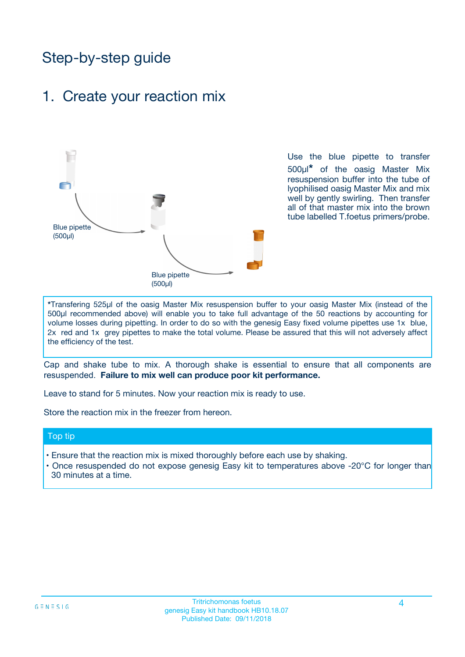# Step-by-step guide

### 1. Create your reaction mix



Use the blue pipette to transfer 500µl**\*** of the oasig Master Mix resuspension buffer into the tube of lyophilised oasig Master Mix and mix well by gently swirling. Then transfer all of that master mix into the brown tube labelled T.foetus primers/probe.

**\***Transfering 525µl of the oasig Master Mix resuspension buffer to your oasig Master Mix (instead of the 500µl recommended above) will enable you to take full advantage of the 50 reactions by accounting for volume losses during pipetting. In order to do so with the genesig Easy fixed volume pipettes use 1x blue, 2x red and 1x grey pipettes to make the total volume. Please be assured that this will not adversely affect the efficiency of the test.

Cap and shake tube to mix. A thorough shake is essential to ensure that all components are resuspended. **Failure to mix well can produce poor kit performance.**

Leave to stand for 5 minutes. Now your reaction mix is ready to use.

Store the reaction mix in the freezer from hereon.

#### Top tip

- Ensure that the reaction mix is mixed thoroughly before each use by shaking.
- **•** Once resuspended do not expose genesig Easy kit to temperatures above -20°C for longer than 30 minutes at a time.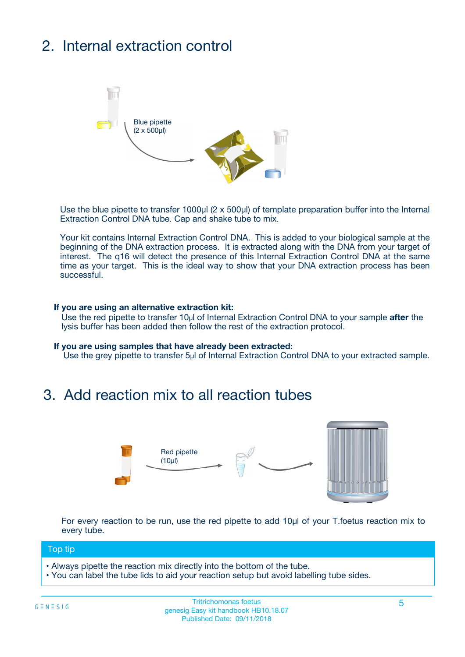# 2. Internal extraction control



Use the blue pipette to transfer 1000µl (2 x 500µl) of template preparation buffer into the Internal Extraction Control DNA tube. Cap and shake tube to mix.

Your kit contains Internal Extraction Control DNA. This is added to your biological sample at the beginning of the DNA extraction process. It is extracted along with the DNA from your target of interest. The q16 will detect the presence of this Internal Extraction Control DNA at the same time as your target. This is the ideal way to show that your DNA extraction process has been **successful.** 

#### **If you are using an alternative extraction kit:**

Use the red pipette to transfer 10µl of Internal Extraction Control DNA to your sample **after** the lysis buffer has been added then follow the rest of the extraction protocol.

#### **If you are using samples that have already been extracted:**

Use the grey pipette to transfer 5µl of Internal Extraction Control DNA to your extracted sample.

## 3. Add reaction mix to all reaction tubes



For every reaction to be run, use the red pipette to add 10µl of your T.foetus reaction mix to every tube.

#### Top tip

- Always pipette the reaction mix directly into the bottom of the tube.
- You can label the tube lids to aid your reaction setup but avoid labelling tube sides.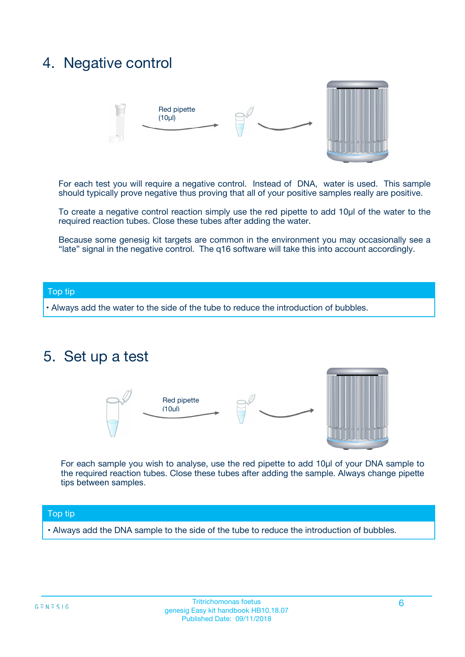## 4. Negative control



For each test you will require a negative control. Instead of DNA, water is used. This sample should typically prove negative thus proving that all of your positive samples really are positive.

To create a negative control reaction simply use the red pipette to add 10µl of the water to the required reaction tubes. Close these tubes after adding the water.

Because some genesig kit targets are common in the environment you may occasionally see a "late" signal in the negative control. The q16 software will take this into account accordingly.

#### Top tip

**•** Always add the water to the side of the tube to reduce the introduction of bubbles.

### 5. Set up a test



For each sample you wish to analyse, use the red pipette to add 10µl of your DNA sample to the required reaction tubes. Close these tubes after adding the sample. Always change pipette tips between samples.

#### Top tip

**•** Always add the DNA sample to the side of the tube to reduce the introduction of bubbles.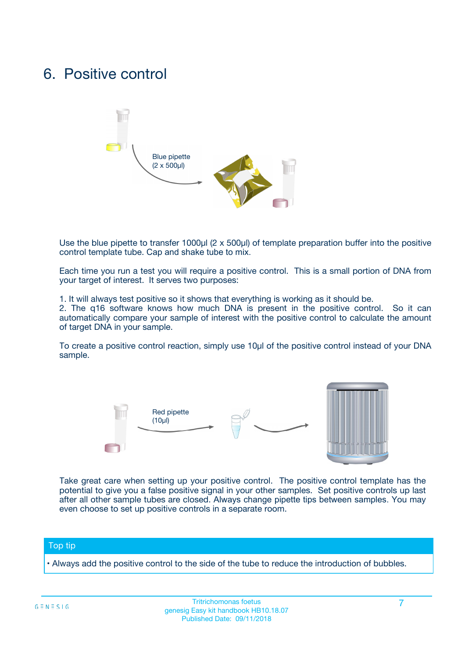## 6. Positive control



Use the blue pipette to transfer 1000µl (2 x 500µl) of template preparation buffer into the positive control template tube. Cap and shake tube to mix.

Each time you run a test you will require a positive control. This is a small portion of DNA from your target of interest. It serves two purposes:

1. It will always test positive so it shows that everything is working as it should be.

2. The q16 software knows how much DNA is present in the positive control. So it can automatically compare your sample of interest with the positive control to calculate the amount of target DNA in your sample.

To create a positive control reaction, simply use 10µl of the positive control instead of your DNA sample.



Take great care when setting up your positive control. The positive control template has the potential to give you a false positive signal in your other samples. Set positive controls up last after all other sample tubes are closed. Always change pipette tips between samples. You may even choose to set up positive controls in a separate room.

#### Top tip

**•** Always add the positive control to the side of the tube to reduce the introduction of bubbles.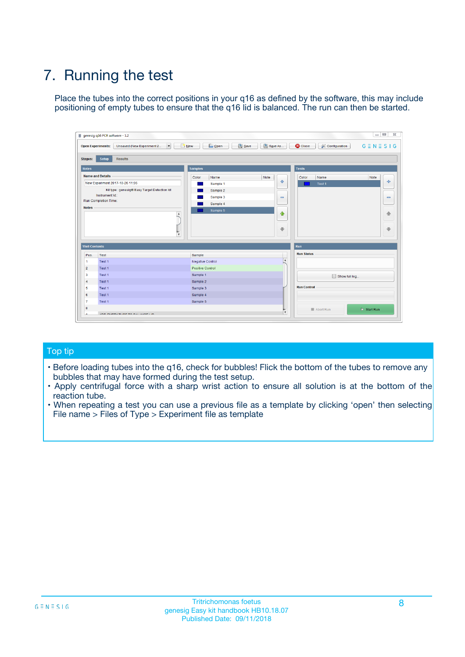# 7. Running the test

Place the tubes into the correct positions in your q16 as defined by the software, this may include positioning of empty tubes to ensure that the q16 lid is balanced. The run can then be started.

| genesig q16 PCR software - 1.2                                               |                                     | $\Box$                                                                                  |
|------------------------------------------------------------------------------|-------------------------------------|-----------------------------------------------------------------------------------------|
| Unsaved (New Experiment 2<br>$\vert \cdot \vert$<br><b>Open Experiments:</b> | <b>D</b> Open<br>Save<br>$\Box$ New | Save As<br><b>C</b> Close<br>$G \equiv N \equiv S \mid G$<br><b>&amp; Configuration</b> |
| Setup<br><b>Results</b><br><b>Stages:</b>                                    |                                     |                                                                                         |
| <b>Notes</b>                                                                 | Samples                             | <b>Tests</b>                                                                            |
| <b>Name and Details</b>                                                      | Color<br>Name                       | Note<br>Color<br>Note<br>Name                                                           |
| New Experiment 2017-10-26 11:06                                              | Sample 1                            | 条<br>علي<br>Test 1                                                                      |
| Kit type: genesig® Easy Target Detection kit                                 | Sample 2                            |                                                                                         |
| Instrument Id.:                                                              | Sample 3                            | $\qquad \qquad \blacksquare$<br>$\qquad \qquad \blacksquare$                            |
| Run Completion Time:                                                         | Sample 4                            |                                                                                         |
| <b>Notes</b>                                                                 | Sample 5<br>A<br>v                  | $\triangle$<br>4<br>$\oplus$<br>₩                                                       |
| <b>Well Contents</b>                                                         |                                     | <b>Run</b>                                                                              |
| Pos.<br>Test                                                                 | Sample                              | <b>Run Status</b>                                                                       |
| Test 1<br>-1                                                                 | <b>Negative Control</b>             | $\blacktriangle$                                                                        |
| $\overline{2}$<br>Test 1                                                     | <b>Positive Control</b>             |                                                                                         |
| $\overline{\mathbf{3}}$<br>Test 1                                            | Sample 1                            | Show full log                                                                           |
| Test 1<br>$\overline{4}$                                                     | Sample 2                            |                                                                                         |
| 5<br>Test 1                                                                  | Sample 3                            | <b>Run Control</b>                                                                      |
| 6<br>Test 1                                                                  | Sample 4                            |                                                                                         |
| $\overline{7}$<br>Test 1                                                     | Sample 5                            |                                                                                         |
| 8                                                                            |                                     | $\triangleright$ Start Run<br>Abort Run                                                 |
| <b>JOD FURTY TUDE TO BUILDED IN</b>                                          |                                     | $\overline{\mathbf{v}}$                                                                 |

#### Top tip

- Before loading tubes into the q16, check for bubbles! Flick the bottom of the tubes to remove any bubbles that may have formed during the test setup.
- Apply centrifugal force with a sharp wrist action to ensure all solution is at the bottom of the reaction tube.
- When repeating a test you can use a previous file as a template by clicking 'open' then selecting File name > Files of Type > Experiment file as template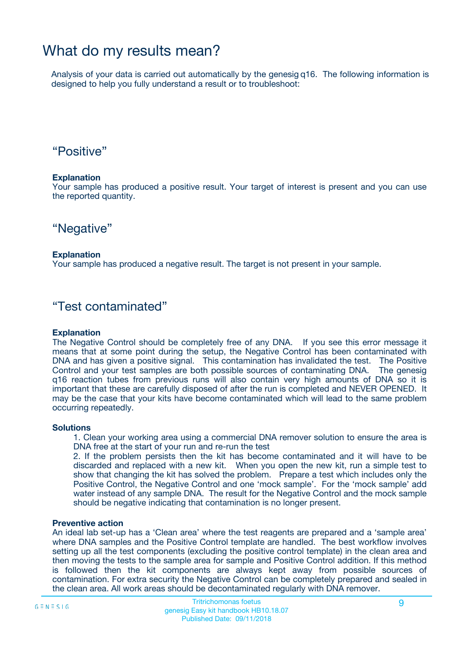## What do my results mean?

Analysis of your data is carried out automatically by the genesig q16. The following information is designed to help you fully understand a result or to troubleshoot:

### "Positive"

#### **Explanation**

Your sample has produced a positive result. Your target of interest is present and you can use the reported quantity.

"Negative"

#### **Explanation**

Your sample has produced a negative result. The target is not present in your sample.

### "Test contaminated"

#### **Explanation**

The Negative Control should be completely free of any DNA. If you see this error message it means that at some point during the setup, the Negative Control has been contaminated with DNA and has given a positive signal. This contamination has invalidated the test. The Positive Control and your test samples are both possible sources of contaminating DNA. The genesig q16 reaction tubes from previous runs will also contain very high amounts of DNA so it is important that these are carefully disposed of after the run is completed and NEVER OPENED. It may be the case that your kits have become contaminated which will lead to the same problem occurring repeatedly.

#### **Solutions**

1. Clean your working area using a commercial DNA remover solution to ensure the area is DNA free at the start of your run and re-run the test

2. If the problem persists then the kit has become contaminated and it will have to be discarded and replaced with a new kit. When you open the new kit, run a simple test to show that changing the kit has solved the problem. Prepare a test which includes only the Positive Control, the Negative Control and one 'mock sample'. For the 'mock sample' add water instead of any sample DNA. The result for the Negative Control and the mock sample should be negative indicating that contamination is no longer present.

#### **Preventive action**

An ideal lab set-up has a 'Clean area' where the test reagents are prepared and a 'sample area' where DNA samples and the Positive Control template are handled. The best workflow involves setting up all the test components (excluding the positive control template) in the clean area and then moving the tests to the sample area for sample and Positive Control addition. If this method is followed then the kit components are always kept away from possible sources of contamination. For extra security the Negative Control can be completely prepared and sealed in the clean area. All work areas should be decontaminated regularly with DNA remover.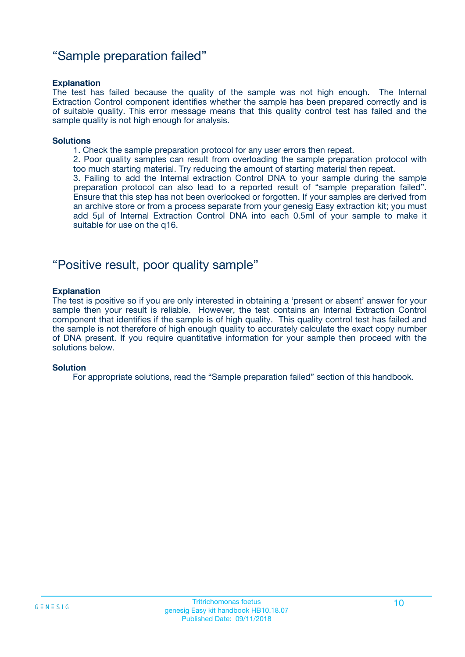### "Sample preparation failed"

#### **Explanation**

The test has failed because the quality of the sample was not high enough. The Internal Extraction Control component identifies whether the sample has been prepared correctly and is of suitable quality. This error message means that this quality control test has failed and the sample quality is not high enough for analysis.

#### **Solutions**

1. Check the sample preparation protocol for any user errors then repeat.

2. Poor quality samples can result from overloading the sample preparation protocol with too much starting material. Try reducing the amount of starting material then repeat.

3. Failing to add the Internal extraction Control DNA to your sample during the sample preparation protocol can also lead to a reported result of "sample preparation failed". Ensure that this step has not been overlooked or forgotten. If your samples are derived from an archive store or from a process separate from your genesig Easy extraction kit; you must add 5µl of Internal Extraction Control DNA into each 0.5ml of your sample to make it suitable for use on the q16.

### "Positive result, poor quality sample"

#### **Explanation**

The test is positive so if you are only interested in obtaining a 'present or absent' answer for your sample then your result is reliable. However, the test contains an Internal Extraction Control component that identifies if the sample is of high quality. This quality control test has failed and the sample is not therefore of high enough quality to accurately calculate the exact copy number of DNA present. If you require quantitative information for your sample then proceed with the solutions below.

#### **Solution**

For appropriate solutions, read the "Sample preparation failed" section of this handbook.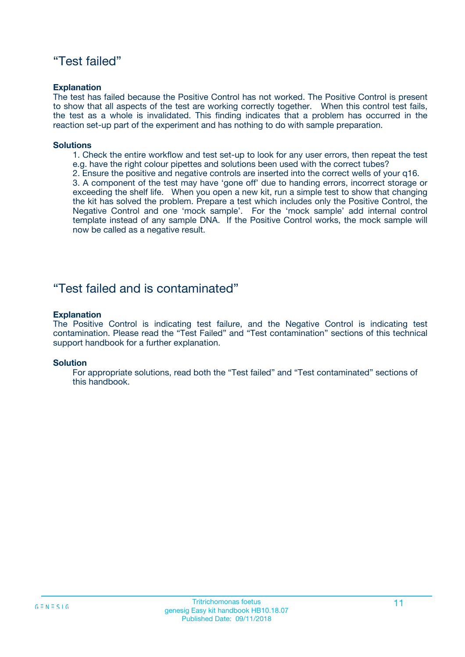### "Test failed"

#### **Explanation**

The test has failed because the Positive Control has not worked. The Positive Control is present to show that all aspects of the test are working correctly together. When this control test fails, the test as a whole is invalidated. This finding indicates that a problem has occurred in the reaction set-up part of the experiment and has nothing to do with sample preparation.

#### **Solutions**

- 1. Check the entire workflow and test set-up to look for any user errors, then repeat the test e.g. have the right colour pipettes and solutions been used with the correct tubes?
- 2. Ensure the positive and negative controls are inserted into the correct wells of your q16.

3. A component of the test may have 'gone off' due to handing errors, incorrect storage or exceeding the shelf life. When you open a new kit, run a simple test to show that changing the kit has solved the problem. Prepare a test which includes only the Positive Control, the Negative Control and one 'mock sample'. For the 'mock sample' add internal control template instead of any sample DNA. If the Positive Control works, the mock sample will now be called as a negative result.

### "Test failed and is contaminated"

#### **Explanation**

The Positive Control is indicating test failure, and the Negative Control is indicating test contamination. Please read the "Test Failed" and "Test contamination" sections of this technical support handbook for a further explanation.

#### **Solution**

For appropriate solutions, read both the "Test failed" and "Test contaminated" sections of this handbook.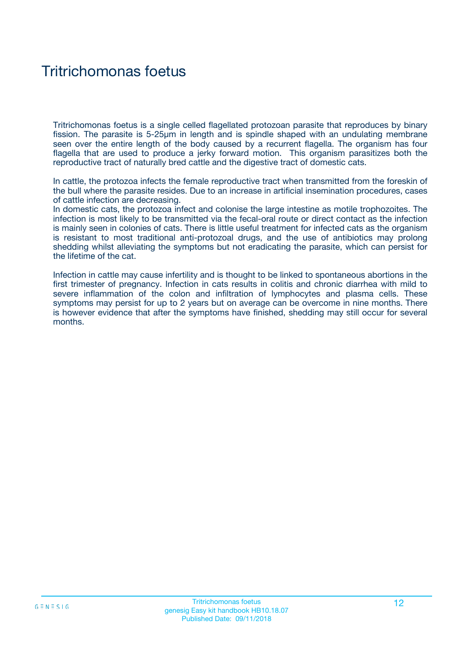# Tritrichomonas foetus

Tritrichomonas foetus is a single celled flagellated protozoan parasite that reproduces by binary fission. The parasite is 5-25µm in length and is spindle shaped with an undulating membrane seen over the entire length of the body caused by a recurrent flagella. The organism has four flagella that are used to produce a jerky forward motion. This organism parasitizes both the reproductive tract of naturally bred cattle and the digestive tract of domestic cats.

In cattle, the protozoa infects the female reproductive tract when transmitted from the foreskin of the bull where the parasite resides. Due to an increase in artificial insemination procedures, cases of cattle infection are decreasing.

In domestic cats, the protozoa infect and colonise the large intestine as motile trophozoites. The infection is most likely to be transmitted via the fecal-oral route or direct contact as the infection is mainly seen in colonies of cats. There is little useful treatment for infected cats as the organism is resistant to most traditional anti-protozoal drugs, and the use of antibiotics may prolong shedding whilst alleviating the symptoms but not eradicating the parasite, which can persist for the lifetime of the cat.

Infection in cattle may cause infertility and is thought to be linked to spontaneous abortions in the first trimester of pregnancy. Infection in cats results in colitis and chronic diarrhea with mild to severe inflammation of the colon and infiltration of lymphocytes and plasma cells. These symptoms may persist for up to 2 years but on average can be overcome in nine months. There is however evidence that after the symptoms have finished, shedding may still occur for several months.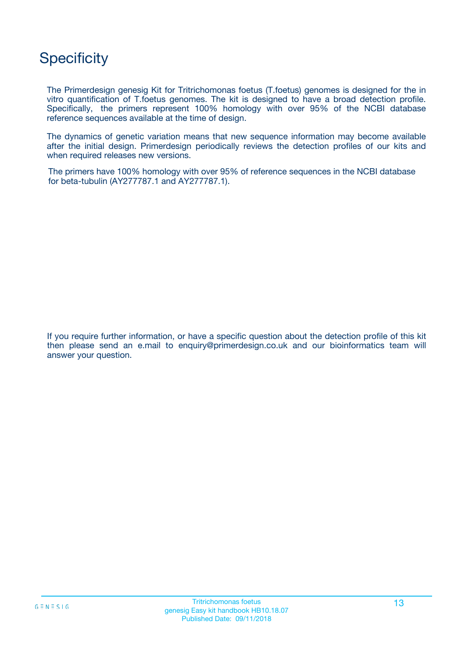# **Specificity**

The Primerdesign genesig Kit for Tritrichomonas foetus (T.foetus) genomes is designed for the in vitro quantification of T.foetus genomes. The kit is designed to have a broad detection profile. Specifically, the primers represent 100% homology with over 95% of the NCBI database reference sequences available at the time of design.

The dynamics of genetic variation means that new sequence information may become available after the initial design. Primerdesign periodically reviews the detection profiles of our kits and when required releases new versions.

The primers have 100% homology with over 95% of reference sequences in the NCBI database for beta-tubulin (AY277787.1 and AY277787.1).

If you require further information, or have a specific question about the detection profile of this kit then please send an e.mail to enquiry@primerdesign.co.uk and our bioinformatics team will answer your question.